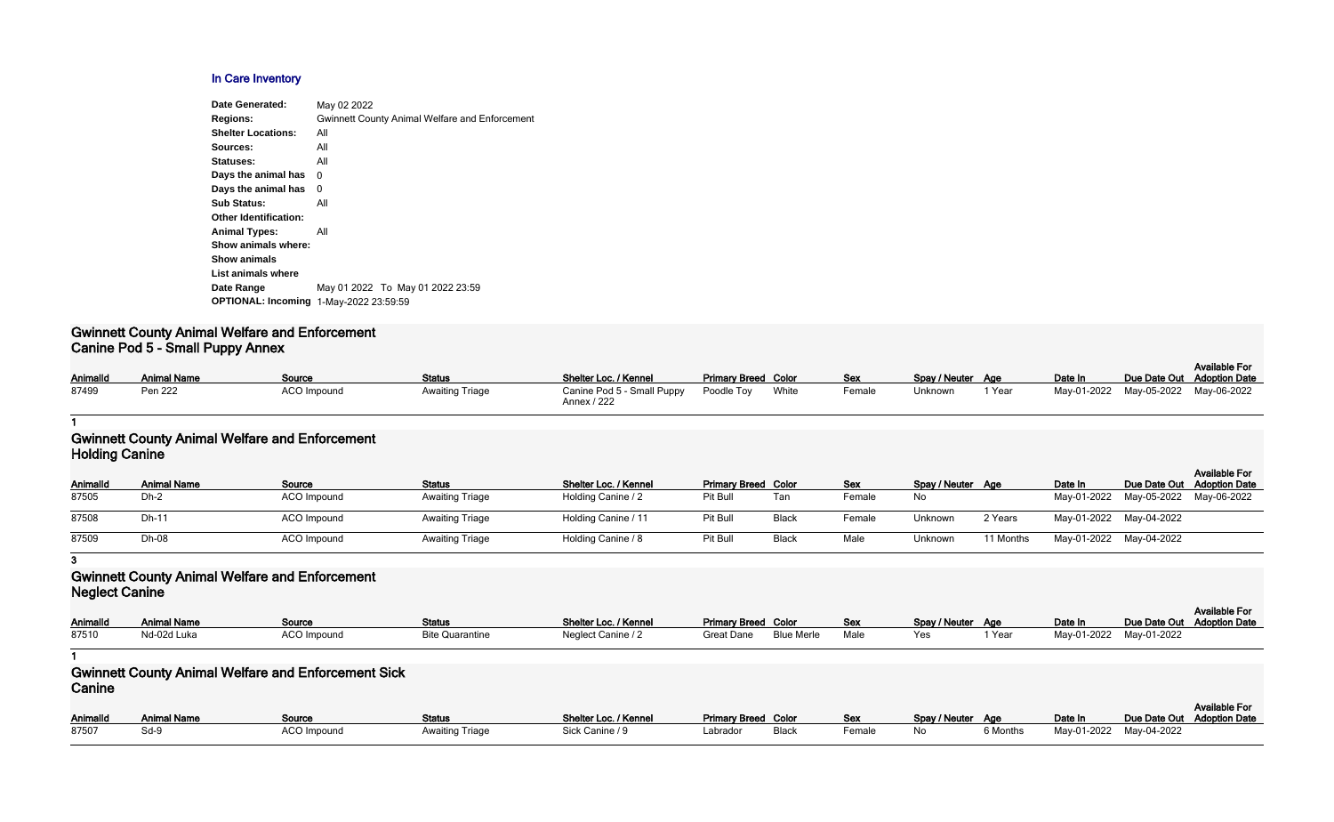### **In Care Inventory**

| Date Generated:              | May 02 2022                                           |
|------------------------------|-------------------------------------------------------|
| <b>Regions:</b>              | <b>Gwinnett County Animal Welfare and Enforcement</b> |
| <b>Shelter Locations:</b>    | All                                                   |
| Sources:                     | All                                                   |
| Statuses:                    | All                                                   |
| Days the animal has          | 0                                                     |
| Days the animal has          | 0                                                     |
| <b>Sub Status:</b>           | All                                                   |
| <b>Other Identification:</b> |                                                       |
| <b>Animal Types:</b>         | All                                                   |
| Show animals where:          |                                                       |
| <b>Show animals</b>          |                                                       |
| List animals where           |                                                       |
| Date Range                   | May 01 2022 To May 01 2022 23:59                      |
| <b>OPTIONAL: Incoming</b>    | 1-May-2022 23:59:59                                   |
|                              |                                                       |

### **Gwinnett County Animal Welfare and Enforcement Canine Pod 5 - Small Puppy Annex**

|          |                    |                    |                        |                                           |                            |       |            |                   |        |         |                                     | <b>Available For</b> |
|----------|--------------------|--------------------|------------------------|-------------------------------------------|----------------------------|-------|------------|-------------------|--------|---------|-------------------------------------|----------------------|
| Animalld | <b>Animal Name</b> | Source             | <b>Status</b>          | Shelter Loc. / Kennel                     | <b>Primary Breed Color</b> |       | <b>Sex</b> | Spay / Neuter Age |        | Date In | Due Date Out Adoption Date          |                      |
| 87499    | Pen 222            | <b>ACO Impound</b> | <b>Awaiting Triage</b> | Canine Pod 5 - Small Puppy<br>Annex / 222 | Poodle Tov                 | White | Female     | Unknown           | 1 Year |         | May-01-2022 May-05-2022 May-06-2022 |                      |

#### **1**

## **Gwinnett County Animal Welfare and Enforcement Holding Canine**

| Animalld | <b>Animal Name</b> | Source             | <b>Status</b>          | <b>Shelter Loc. / Kennel</b> | <b>Primary Breed Color</b> |              | <b>Sex</b> | Spay / Neuter Age |           | Date In                 | Due Date Out Adoption Date          | <b>Available For</b> |
|----------|--------------------|--------------------|------------------------|------------------------------|----------------------------|--------------|------------|-------------------|-----------|-------------------------|-------------------------------------|----------------------|
| 87505    | Dh-2               | <b>ACO</b> Impound | <b>Awaiting Triage</b> | Holding Canine / 2           | Pit Bull                   | Tan          | Female     | No                |           |                         | May-01-2022 May-05-2022 May-06-2022 |                      |
| 87508    | Dh-11              | ACO Impound        | <b>Awaiting Triage</b> | Holding Canine / 11          | Pit Bull                   | Black        | Female     | Unknown           | 2 Years   | May-01-2022 May-04-2022 |                                     |                      |
| 87509    | Dh-08              | <b>ACO</b> Impound | <b>Awaiting Triage</b> | Holding Canine / 8           | Pit Bull                   | <b>Black</b> | Male       | Unknown           | 11 Months | May-01-2022 May-04-2022 |                                     |                      |

### **3**

# **Gwinnett County Animal Welfare and Enforcement Neglect Canine**

| AnimalId | <b>Animal Name</b> | Source      | Status                 | Shelter Loc. / Kennel | <b>Primary Breed Color</b> |                   | Sex  | Spay / Neuter Age |        | Date In                 | Due Date Out |
|----------|--------------------|-------------|------------------------|-----------------------|----------------------------|-------------------|------|-------------------|--------|-------------------------|--------------|
| 87510    | Nd-02d Luka        | ACO Impound | <b>Bite Quarantine</b> | Neglect Canine / 2    | Great Dane                 | <b>Blue Merle</b> | Male |                   | ' Year | May-01-2022 May-01-2022 |              |

#### **1**

| Spay / Neuter<br>Yes | Age<br>1 Year | Date In<br>May-01-2022 | Due Date Out<br>May-01-2022 | <b>Available For</b><br><b>Adoption Date</b> |
|----------------------|---------------|------------------------|-----------------------------|----------------------------------------------|
|                      |               |                        |                             |                                              |
|                      |               |                        |                             |                                              |
|                      |               |                        |                             |                                              |
| Spay / Neuter        | Age           | Date In                | Due Date Out                | <b>Available For</b><br><b>Adoption Date</b> |
| No                   | 6 Months      | May-01-2022            | May-04-2022                 |                                              |

# **Gwinnett County Animal Welfare and Enforcement Sick Canine**

| <b>AnimalId</b> | <b>Animal Name</b> | Source      | <b>Status</b>          | Shelter Loc. / Kennel | <b>Primary Breed Color</b> |       | Sex    | Spay / Neuter Age |          | Date In                 | Due Date Out |
|-----------------|--------------------|-------------|------------------------|-----------------------|----------------------------|-------|--------|-------------------|----------|-------------------------|--------------|
| 87507           | Sd-9               | ACO Impound | <b>Awaiting Triage</b> | Sick Canine / 9       | Labrador                   | Black | Female | No.               | 6 Months | May-01-2022 May-04-2022 |              |